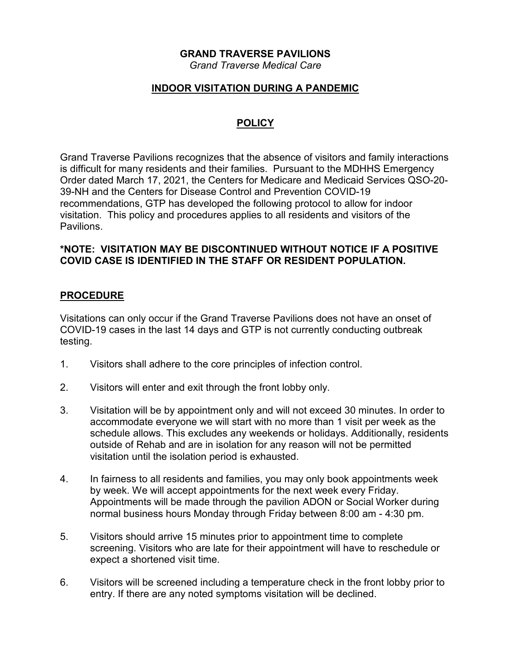### **GRAND TRAVERSE PAVILIONS**

*Grand Traverse Medical Care*

## **INDOOR VISITATION DURING A PANDEMIC**

# **POLICY**

Grand Traverse Pavilions recognizes that the absence of visitors and family interactions is difficult for many residents and their families. Pursuant to the MDHHS Emergency Order dated March 17, 2021, the Centers for Medicare and Medicaid Services QSO-20- 39-NH and the Centers for Disease Control and Prevention COVID-19 recommendations, GTP has developed the following protocol to allow for indoor visitation. This policy and procedures applies to all residents and visitors of the **Pavilions** 

### **\*NOTE: VISITATION MAY BE DISCONTINUED WITHOUT NOTICE IF A POSITIVE COVID CASE IS IDENTIFIED IN THE STAFF OR RESIDENT POPULATION.**

### **PROCEDURE**

Visitations can only occur if the Grand Traverse Pavilions does not have an onset of COVID-19 cases in the last 14 days and GTP is not currently conducting outbreak testing.

- 1. Visitors shall adhere to the core principles of infection control.
- 2. Visitors will enter and exit through the front lobby only.
- 3. Visitation will be by appointment only and will not exceed 30 minutes. In order to accommodate everyone we will start with no more than 1 visit per week as the schedule allows. This excludes any weekends or holidays. Additionally, residents outside of Rehab and are in isolation for any reason will not be permitted visitation until the isolation period is exhausted.
- 4. In fairness to all residents and families, you may only book appointments week by week. We will accept appointments for the next week every Friday. Appointments will be made through the pavilion ADON or Social Worker during normal business hours Monday through Friday between 8:00 am - 4:30 pm.
- 5. Visitors should arrive 15 minutes prior to appointment time to complete screening. Visitors who are late for their appointment will have to reschedule or expect a shortened visit time.
- 6. Visitors will be screened including a temperature check in the front lobby prior to entry. If there are any noted symptoms visitation will be declined.